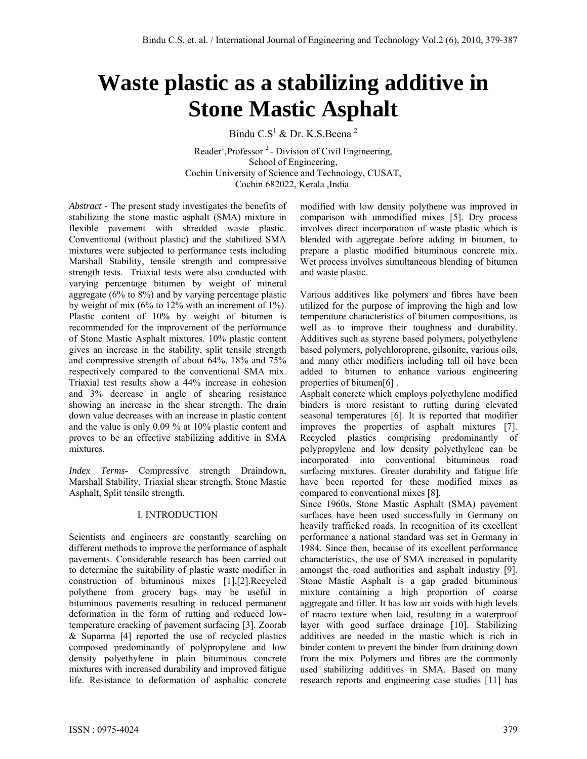# **Waste plastic as a stabilizing additive in Stone Mastic Asphalt**

Bindu C.S<sup>1</sup> & Dr. K.S.Beena<sup>2</sup>

Reader<sup>1</sup>, Professor<sup>2</sup> - Division of Civil Engineering, School of Engineering, Cochin University of Science and Technology, CUSAT, Cochin 682022, Kerala ,India.

*Abstract* **-** The present study investigates the benefits of stabilizing the stone mastic asphalt (SMA) mixture in flexible pavement with shredded waste plastic. Conventional (without plastic) and the stabilized SMA mixtures were subjected to performance tests including Marshall Stability, tensile strength and compressive strength tests. Triaxial tests were also conducted with varying percentage bitumen by weight of mineral aggregate (6% to 8%) and by varying percentage plastic by weight of mix (6% to 12% with an increment of 1%). Plastic content of 10% by weight of bitumen is recommended for the improvement of the performance of Stone Mastic Asphalt mixtures. 10% plastic content gives an increase in the stability, split tensile strength and compressive strength of about 64%, 18% and 75% respectively compared to the conventional SMA mix. Triaxial test results show a 44% increase in cohesion and 3% decrease in angle of shearing resistance showing an increase in the shear strength. The drain down value decreases with an increase in plastic content and the value is only 0.09 % at 10% plastic content and proves to be an effective stabilizing additive in SMA mixtures.

*Index Terms*- Compressive strength Draindown, Marshall Stability, Triaxial shear strength, Stone Mastic Asphalt, Split tensile strength.

# I. INTRODUCTION

Scientists and engineers are constantly searching on different methods to improve the performance of asphalt pavements. Considerable research has been carried out to determine the suitability of plastic waste modifier in construction of bituminous mixes [1],[2].Recycled polythene from grocery bags may be useful in bituminous pavements resulting in reduced permanent deformation in the form of rutting and reduced lowtemperature cracking of pavement surfacing [3]. Zoorab & Suparma [4] reported the use of recycled plastics composed predominantly of polypropylene and low density polyethylene in plain bituminous concrete mixtures with increased durability and improved fatigue life. Resistance to deformation of asphaltic concrete modified with low density polythene was improved in comparison with unmodified mixes [5]. Dry process involves direct incorporation of waste plastic which is blended with aggregate before adding in bitumen, to prepare a plastic modified bituminous concrete mix. Wet process involves simultaneous blending of bitumen and waste plastic.

Various additives like polymers and fibres have been utilized for the purpose of improving the high and low temperature characteristics of bitumen compositions, as well as to improve their toughness and durability. Additives such as styrene based polymers, polyethylene based polymers, polychloroprene, gilsonite, various oils, and many other modifiers including tall oil have been added to bitumen to enhance various engineering properties of bitumen[6] .

Asphalt concrete which employs polyethylene modified binders is more resistant to rutting during elevated seasonal temperatures [6]. It is reported that modifier improves the properties of asphalt mixtures [7]. Recycled plastics comprising predominantly of polypropylene and low density polyethylene can be incorporated into conventional bituminous road surfacing mixtures. Greater durability and fatigue life have been reported for these modified mixes as compared to conventional mixes [8].

Since 1960s, Stone Mastic Asphalt (SMA) pavement surfaces have been used successfully in Germany on heavily trafficked roads. In recognition of its excellent performance a national standard was set in Germany in 1984. Since then, because of its excellent performance characteristics, the use of SMA increased in popularity amongst the road authorities and asphalt industry [9]. Stone Mastic Asphalt is a gap graded bituminous mixture containing a high proportion of coarse aggregate and filler. It has low air voids with high levels of macro texture when laid, resulting in a waterproof layer with good surface drainage [10]. Stabilizing additives are needed in the mastic which is rich in binder content to prevent the binder from draining down from the mix. Polymers and fibres are the commonly used stabilizing additives in SMA. Based on many research reports and engineering case studies [11] has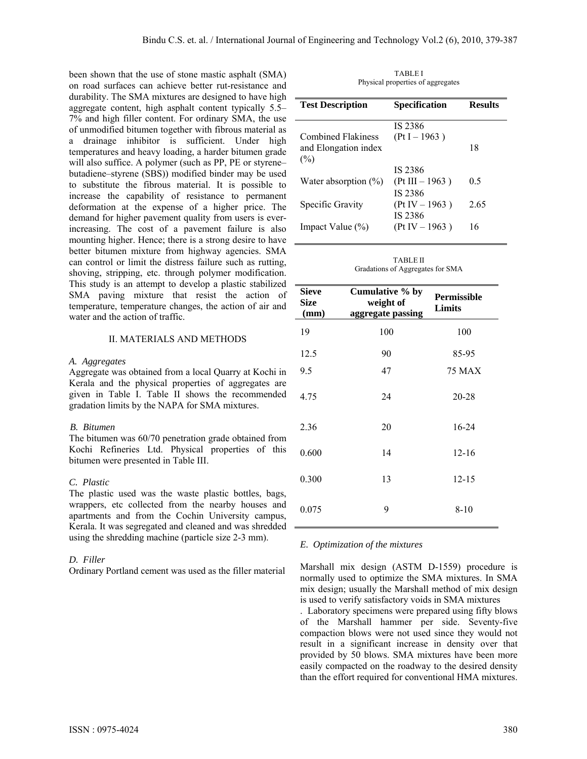been shown that the use of stone mastic asphalt (SMA) on road surfaces can achieve better rut-resistance and durability. The SMA mixtures are designed to have high aggregate content, high asphalt content typically 5.5– 7% and high filler content. For ordinary SMA, the use of unmodified bitumen together with fibrous material as a drainage inhibitor is sufficient. Under high temperatures and heavy loading, a harder bitumen grade will also suffice. A polymer (such as PP, PE or styrene– butadiene–styrene (SBS)) modified binder may be used to substitute the fibrous material. It is possible to increase the capability of resistance to permanent deformation at the expense of a higher price. The demand for higher pavement quality from users is everincreasing. The cost of a pavement failure is also mounting higher. Hence; there is a strong desire to have better bitumen mixture from highway agencies. SMA can control or limit the distress failure such as rutting, shoving, stripping, etc. through polymer modification. This study is an attempt to develop a plastic stabilized SMA paving mixture that resist the action of temperature, temperature changes, the action of air and water and the action of traffic.

#### II. MATERIALS AND METHODS

#### *A. Aggregates*

Aggregate was obtained from a local Quarry at Kochi in Kerala and the physical properties of aggregates are given in Table I. Table II shows the recommended gradation limits by the NAPA for SMA mixtures.

#### *B. Bitumen*

The bitumen was 60/70 penetration grade obtained from Kochi Refineries Ltd. Physical properties of this bitumen were presented in Table III.

#### *C. Plastic*

The plastic used was the waste plastic bottles, bags, wrappers, etc collected from the nearby houses and apartments and from the Cochin University campus, Kerala. It was segregated and cleaned and was shredded using the shredding machine (particle size 2-3 mm).

#### *D. Filler*

Ordinary Portland cement was used as the filler material

TABLE I Physical properties of aggregates

| <b>Test Description</b>                                  | <b>Specification</b>                    | <b>Results</b> |
|----------------------------------------------------------|-----------------------------------------|----------------|
| <b>Combined Flakiness</b><br>and Elongation index<br>(%) | IS 2386<br>$(Pt I - 1963)$              | 18             |
| Water absorption $(\%)$                                  | IS 2386<br>$(Pt III - 1963)$<br>IS 2386 | 0.5            |
| Specific Gravity                                         | $(Pt IV - 1963)$<br>IS 2386             | 2.65           |
| Impact Value (%)                                         | $(Pt IV - 1963)$                        | 16             |

TABLE II Gradations of Aggregates for SMA

| <b>Sieve</b><br><b>Size</b><br>(mm) | Cumulative % by<br>weight of<br>aggregate passing | Permissible<br>Limits |
|-------------------------------------|---------------------------------------------------|-----------------------|
| 19                                  | 100                                               | 100                   |
| 12.5                                | 90                                                | 85-95                 |
| 9.5                                 | 47                                                | <b>75 MAX</b>         |
| 4.75                                | 24                                                | 20-28                 |
| 2.36                                | 20                                                | 16-24                 |
| 0.600                               | 14                                                | $12 - 16$             |
| 0.300                               | 13                                                | $12 - 15$             |
| 0.075                               | 9                                                 | $8 - 10$              |

#### *E. Optimization of the mixtures*

Marshall mix design (ASTM D-1559) procedure is normally used to optimize the SMA mixtures. In SMA mix design; usually the Marshall method of mix design is used to verify satisfactory voids in SMA mixtures

. Laboratory specimens were prepared using fifty blows of the Marshall hammer per side. Seventy-five compaction blows were not used since they would not result in a significant increase in density over that provided by 50 blows. SMA mixtures have been more easily compacted on the roadway to the desired density than the effort required for conventional HMA mixtures.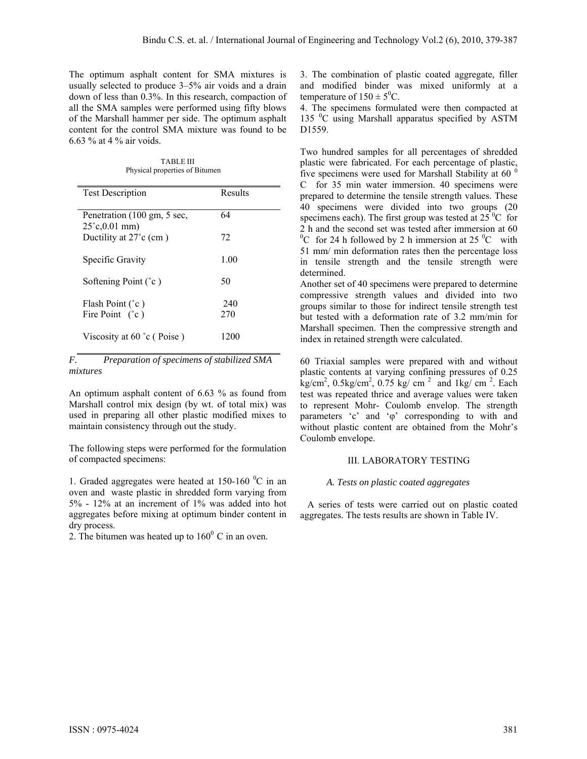The optimum asphalt content for SMA mixtures is usually selected to produce 3–5% air voids and a drain down of less than 0.3%. In this research, compaction of all the SMA samples were performed using fifty blows of the Marshall hammer per side. The optimum asphalt content for the control SMA mixture was found to be 6.63 % at 4 % air voids.

TABLE III Physical properties of Bitumen

| <b>Test Description</b>                                 | Results |
|---------------------------------------------------------|---------|
| Penetration (100 gm, 5 sec,<br>$25^{\circ}$ c, 0.01 mm) | 64      |
| Ductility at $27^{\circ}$ c (cm)                        | 72      |
| Specific Gravity                                        | 1.00    |
| Softening Point $(°c)$                                  | 50      |
| Flash Point $(°c)$                                      | 240     |
| Fire Point $(°c)$                                       | 270     |
| Viscosity at $60^{\circ}$ c (Poise)                     | 1200    |

*F. Preparation of specimens of stabilized SMA mixtures* 

An optimum asphalt content of 6.63 % as found from Marshall control mix design (by wt. of total mix) was used in preparing all other plastic modified mixes to maintain consistency through out the study.

The following steps were performed for the formulation of compacted specimens:

1. Graded aggregates were heated at  $150-160$  °C in an oven and waste plastic in shredded form varying from 5% - 12% at an increment of 1% was added into hot aggregates before mixing at optimum binder content in dry process.

2. The bitumen was heated up to  $160^{\circ}$  C in an oven.

3. The combination of plastic coated aggregate, filler and modified binder was mixed uniformly at a temperature of  $150 \pm 5^0$ C.

4. The specimens formulated were then compacted at 135 <sup>0</sup>C using Marshall apparatus specified by ASTM D1559.

Two hundred samples for all percentages of shredded plastic were fabricated. For each percentage of plastic, five specimens were used for Marshall Stability at 60 $^{\circ}$ C for 35 min water immersion. 40 specimens were prepared to determine the tensile strength values. These 40 specimens were divided into two groups (20 specimens each). The first group was tested at  $25^{\circ}$ C for 2 h and the second set was tested after immersion at 60 <sup>0</sup>C for 24 h followed by 2 h immersion at 25 <sup>0</sup>C with 51 mm/ min deformation rates then the percentage loss in tensile strength and the tensile strength were determined.

Another set of 40 specimens were prepared to determine compressive strength values and divided into two groups similar to those for indirect tensile strength test but tested with a deformation rate of 3.2 mm/min for Marshall specimen. Then the compressive strength and index in retained strength were calculated.

60 Triaxial samples were prepared with and without plastic contents at varying confining pressures of 0.25  $\text{kg/cm}^2$ , 0.5kg/cm<sup>2</sup>, 0.75 kg/ cm<sup>2</sup> and 1kg/ cm<sup>2</sup>. Each test was repeated thrice and average values were taken to represent Mohr- Coulomb envelop. The strength parameters 'c' and 'φ' corresponding to with and without plastic content are obtained from the Mohr's Coulomb envelope.

# III. LABORATORY TESTING

# *A. Tests on plastic coated aggregates*

 A series of tests were carried out on plastic coated aggregates. The tests results are shown in Table IV.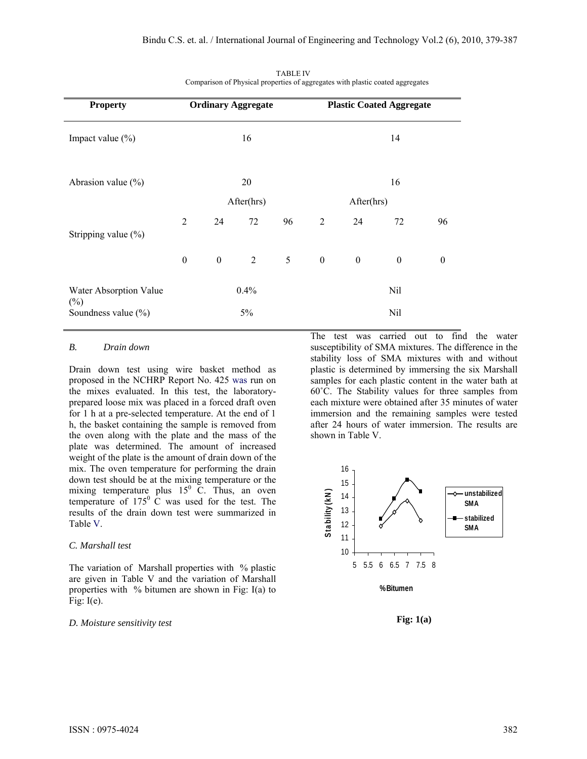| <b>Property</b>                  | <b>Ordinary Aggregate</b> |                  |                |            | <b>Plastic Coated Aggregate</b> |                  |                  |                  |
|----------------------------------|---------------------------|------------------|----------------|------------|---------------------------------|------------------|------------------|------------------|
| Impact value $(\% )$             | 16                        |                  |                |            | 14                              |                  |                  |                  |
| Abrasion value $(\% )$           |                           |                  | 20             |            | 16                              |                  |                  |                  |
|                                  | After(hrs)                |                  |                | After(hrs) |                                 |                  |                  |                  |
| Stripping value $(\%)$           | 2                         | 24               | 72             | 96         | 2                               | 24               | 72               | 96               |
|                                  | $\boldsymbol{0}$          | $\boldsymbol{0}$ | $\overline{2}$ | 5          | $\mathbf{0}$                    | $\boldsymbol{0}$ | $\boldsymbol{0}$ | $\boldsymbol{0}$ |
| Water Absorption Value<br>$(\%)$ |                           |                  | 0.4%           |            |                                 |                  | Nil              |                  |
| Soundness value (%)              |                           |                  | 5%             |            |                                 |                  | Nil              |                  |

TABLE IV Comparison of Physical properties of aggregates with plastic coated aggregates

# *B. Drain down*

Drain down test using wire basket method as proposed in the NCHRP Report No. 425 was run on the mixes evaluated. In this test, the laboratoryprepared loose mix was placed in a forced draft oven for 1 h at a pre-selected temperature. At the end of 1 h, the basket containing the sample is removed from the oven along with the plate and the mass of the plate was determined. The amount of increased weight of the plate is the amount of drain down of the mix. The oven temperature for performing the drain down test should be at the mixing temperature or the mixing temperature plus  $15^{\circ}$  C. Thus, an oven temperature of  $175^{\circ}$  C was used for the test. The results of the drain down test were summarized in Table V.

#### *C. Marshall test*

The variation of Marshall properties with % plastic are given in Table V and the variation of Marshall properties with  $\%$  bitumen are shown in Fig: I(a) to Fig:  $I(e)$ .

#### *D. Moisture sensitivity test*

The test was carried out to find the water susceptibility of SMA mixtures. The difference in the stability loss of SMA mixtures with and without plastic is determined by immersing the six Marshall samples for each plastic content in the water bath at 60˚C. The Stability values for three samples from each mixture were obtained after 35 minutes of water immersion and the remaining samples were tested after 24 hours of water immersion. The results are shown in Table V.



**Fig: 1(a)**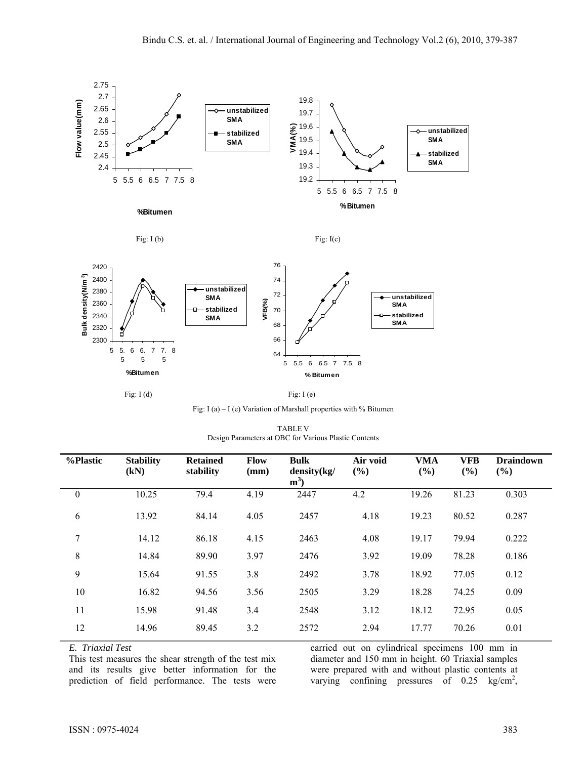







Fig: I (a) – I (e) Variation of Marshall properties with % Bitumen

TABLE V Design Parameters at OBC for Various Plastic Contents

| %Plastic         | <b>Stability</b><br>(kN) | <b>Retained</b><br>stability | <b>Flow</b><br>(mm) | <b>Bulk</b><br>density(kg/<br>$m^3$ | Air void<br>(%) | <b>VMA</b><br>(%) | VFB<br>(%) | <b>Draindown</b><br>(%) |
|------------------|--------------------------|------------------------------|---------------------|-------------------------------------|-----------------|-------------------|------------|-------------------------|
| $\boldsymbol{0}$ | 10.25                    | 79.4                         | 4.19                | 2447                                | 4.2             | 19.26             | 81.23      | 0.303                   |
| 6                | 13.92                    | 84.14                        | 4.05                | 2457                                | 4.18            | 19.23             | 80.52      | 0.287                   |
| 7                | 14.12                    | 86.18                        | 4.15                | 2463                                | 4.08            | 19.17             | 79.94      | 0.222                   |
| 8                | 14.84                    | 89.90                        | 3.97                | 2476                                | 3.92            | 19.09             | 78.28      | 0.186                   |
| 9                | 15.64                    | 91.55                        | 3.8                 | 2492                                | 3.78            | 18.92             | 77.05      | 0.12                    |
| 10               | 16.82                    | 94.56                        | 3.56                | 2505                                | 3.29            | 18.28             | 74.25      | 0.09                    |
| 11               | 15.98                    | 91.48                        | 3.4                 | 2548                                | 3.12            | 18.12             | 72.95      | 0.05                    |
| 12               | 14.96                    | 89.45                        | 3.2                 | 2572                                | 2.94            | 17.77             | 70.26      | 0.01                    |

*E. Triaxial Test* 

This test measures the shear strength of the test mix and its results give better information for the prediction of field performance. The tests were carried out on cylindrical specimens 100 mm in diameter and 150 mm in height. 60 Triaxial samples were prepared with and without plastic contents at varying confining pressures of  $0.25 \text{ kg/cm}^2$ ,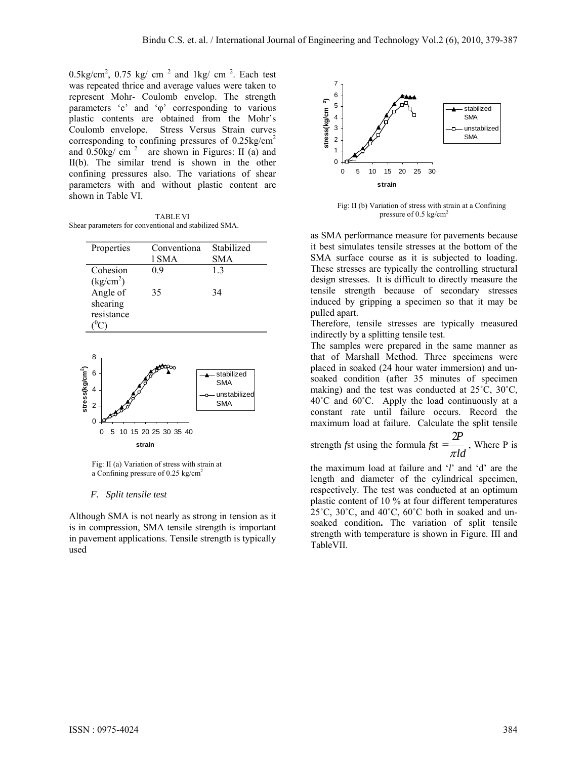$0.5\text{kg/cm}^2$ ,  $0.75 \text{ kg/cm}^2$  and  $1\text{kg/cm}^2$ . Each test was repeated thrice and average values were taken to represent Mohr- Coulomb envelop. The strength parameters 'c' and 'φ' corresponding to various plastic contents are obtained from the Mohr's Coulomb envelope. Stress Versus Strain curves corresponding to confining pressures of  $0.25 \text{kg/cm}^2$ and  $0.50\text{kg}/\text{cm}^2$  are shown in Figures: II (a) and II(b). The similar trend is shown in the other confining pressures also. The variations of shear parameters with and without plastic content are shown in Table VI.

TABLE VI Shear parameters for conventional and stabilized SMA.

| Properties                         | Conventiona<br>l SMA | Stabilized<br>SMA |
|------------------------------------|----------------------|-------------------|
| Cohesion<br>(kg/cm <sup>2</sup> )  | 09                   | 13                |
| Angle of<br>shearing<br>resistance | 35                   | 34                |
|                                    |                      |                   |





#### *F. Split tensile test*

Although SMA is not nearly as strong in tension as it is in compression, SMA tensile strength is important in pavement applications. Tensile strength is typically used



 Fig: II (b) Variation of stress with strain at a Confining pressure of 0.5 kg/cm<sup>2</sup>

as SMA performance measure for pavements because it best simulates tensile stresses at the bottom of the SMA surface course as it is subjected to loading. These stresses are typically the controlling structural design stresses. It is difficult to directly measure the tensile strength because of secondary stresses induced by gripping a specimen so that it may be pulled apart.

Therefore, tensile stresses are typically measured indirectly by a splitting tensile test.

The samples were prepared in the same manner as that of Marshall Method. Three specimens were placed in soaked (24 hour water immersion) and unsoaked condition (after 35 minutes of specimen making) and the test was conducted at 25˚C, 30˚C, 40˚C and 60˚C. Apply the load continuously at a constant rate until failure occurs. Record the maximum load at failure. Calculate the split tensile

strength *f*st using the formula *f*st  $=\frac{1}{\pi}$ *P*  $=\frac{2P}{\pi ld}$ , Where P is

the maximum load at failure and '*l*' and 'd' are the length and diameter of the cylindrical specimen, respectively. The test was conducted at an optimum plastic content of 10 % at four different temperatures  $25^{\circ}$ C,  $30^{\circ}$ C, and  $40^{\circ}$ C,  $60^{\circ}$ C both in soaked and unsoaked condition**.** The variation of split tensile strength with temperature is shown in Figure. III and TableVII.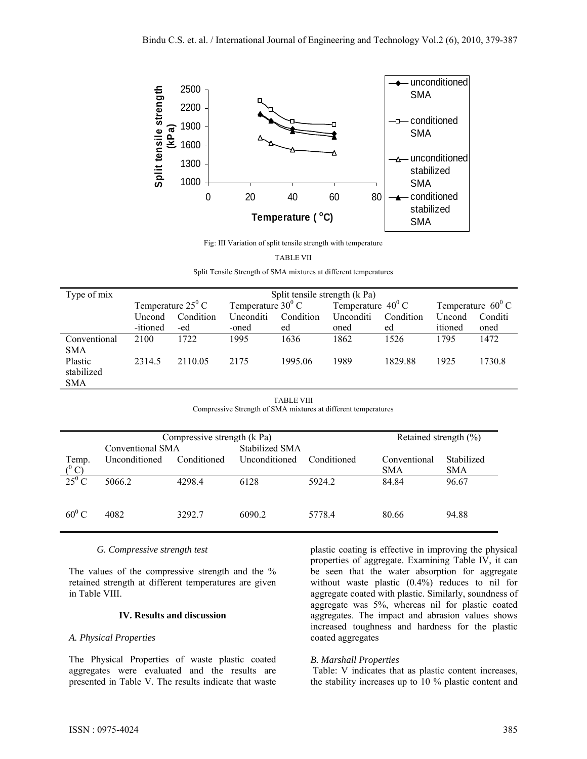

Fig: III Variation of split tensile strength with temperature

|  | TABLE VII |  |
|--|-----------|--|
|  |           |  |

| Type of mix                         | Split tensile strength (k Pa) |                            |           |                                                          |                  |           |         |                            |
|-------------------------------------|-------------------------------|----------------------------|-----------|----------------------------------------------------------|------------------|-----------|---------|----------------------------|
|                                     |                               | Temperature $25^{\circ}$ C |           | Temperature $40^{\circ}$ C<br>Temperature $30^{\circ}$ C |                  |           |         | Temperature $60^{\circ}$ C |
|                                     | Uncond                        | Condition                  | Unconditi | Condition                                                | <b>Unconditi</b> | Condition | Uncond  | Conditi                    |
|                                     | -itioned                      | -ed                        | -oned     | ed                                                       | oned             | ed        | itioned | oned                       |
| Conventional<br>SMA                 | 2100                          | 1722                       | 1995      | 1636                                                     | 1862             | 1526      | 1795    | 1472                       |
| Plastic<br>stabilized<br><b>SMA</b> | 2314.5                        | 2110.05                    | 2175      | 1995.06                                                  | 1989             | 182988    | 1925    | 1730.8                     |

TABLE VIII Compressive Strength of SMA mixtures at different temperatures

|          | Compressive strength (k Pa)<br>Conventional SMA | Retained strength $(\% )$ |                                        |             |              |            |
|----------|-------------------------------------------------|---------------------------|----------------------------------------|-------------|--------------|------------|
| Temp.    | Unconditioned                                   | Conditioned               | <b>Stabilized SMA</b><br>Unconditioned | Conditioned | Conventional | Stabilized |
| $(^0C)$  |                                                 |                           |                                        |             | <b>SMA</b>   | <b>SMA</b> |
| $25^0$ C | 5066.2                                          | 4298.4                    | 6128                                   | 5924.2      | 84.84        | 96.67      |
| $60^0$ C | 4082                                            | 3292.7                    | 6090.2                                 | 5778.4      | 80.66        | 94.88      |

## *G. Compressive strength test*

The values of the compressive strength and the  $\%$ retained strength at different temperatures are given in Table VIII.

#### **IV. Results and discussion**

## *A. Physical Properties*

The Physical Properties of waste plastic coated aggregates were evaluated and the results are presented in Table V. The results indicate that waste

plastic coating is effective in improving the physical properties of aggregate. Examining Table IV, it can be seen that the water absorption for aggregate without waste plastic (0.4%) reduces to nil for aggregate coated with plastic. Similarly, soundness of aggregate was 5%, whereas nil for plastic coated aggregates. The impact and abrasion values shows increased toughness and hardness for the plastic coated aggregates

#### *B. Marshall Properties*

 Table: V indicates that as plastic content increases, the stability increases up to 10 % plastic content and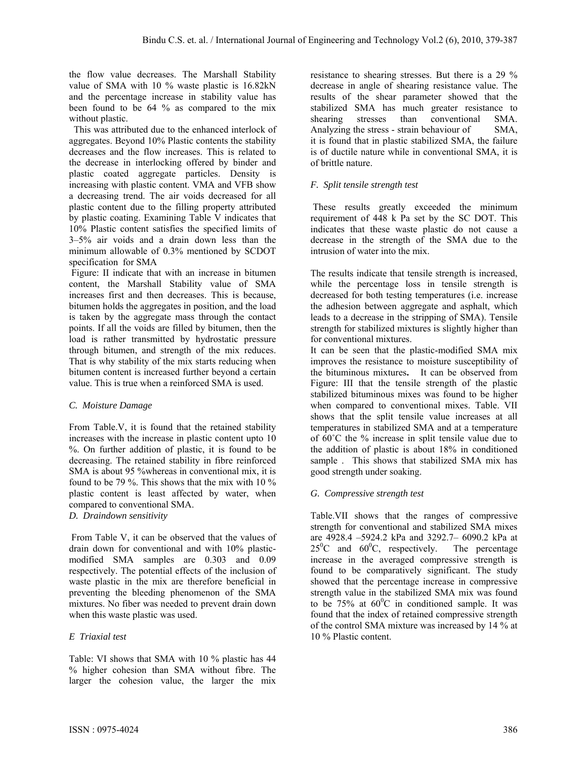the flow value decreases. The Marshall Stability value of SMA with 10 % waste plastic is 16.82kN and the percentage increase in stability value has been found to be 64 % as compared to the mix without plastic.

 This was attributed due to the enhanced interlock of aggregates. Beyond 10% Plastic contents the stability decreases and the flow increases. This is related to the decrease in interlocking offered by binder and plastic coated aggregate particles. Density is increasing with plastic content. VMA and VFB show a decreasing trend. The air voids decreased for all plastic content due to the filling property attributed by plastic coating. Examining Table V indicates that 10% Plastic content satisfies the specified limits of 3–5% air voids and a drain down less than the minimum allowable of 0.3% mentioned by SCDOT specification for SMA

 Figure: II indicate that with an increase in bitumen content, the Marshall Stability value of SMA increases first and then decreases. This is because, bitumen holds the aggregates in position, and the load is taken by the aggregate mass through the contact points. If all the voids are filled by bitumen, then the load is rather transmitted by hydrostatic pressure through bitumen, and strength of the mix reduces. That is why stability of the mix starts reducing when bitumen content is increased further beyond a certain value. This is true when a reinforced SMA is used.

# *C. Moisture Damage*

From Table.V, it is found that the retained stability increases with the increase in plastic content upto 10 %. On further addition of plastic, it is found to be decreasing. The retained stability in fibre reinforced SMA is about 95 %whereas in conventional mix, it is found to be 79 %. This shows that the mix with 10 % plastic content is least affected by water, when compared to conventional SMA.

*D. Draindown sensitivity* 

 From Table V, it can be observed that the values of drain down for conventional and with 10% plasticmodified SMA samples are 0.303 and 0.09 respectively. The potential effects of the inclusion of waste plastic in the mix are therefore beneficial in preventing the bleeding phenomenon of the SMA mixtures. No fiber was needed to prevent drain down when this waste plastic was used.

# *E Triaxial test*

Table: VI shows that SMA with 10 % plastic has 44 % higher cohesion than SMA without fibre. The larger the cohesion value, the larger the mix

resistance to shearing stresses. But there is a 29 % decrease in angle of shearing resistance value. The results of the shear parameter showed that the stabilized SMA has much greater resistance to shearing stresses than conventional SMA. Analyzing the stress - strain behaviour of SMA, it is found that in plastic stabilized SMA, the failure is of ductile nature while in conventional SMA, it is of brittle nature.

# *F. Split tensile strength test*

 These results greatly exceeded the minimum requirement of 448 k Pa set by the SC DOT. This indicates that these waste plastic do not cause a decrease in the strength of the SMA due to the intrusion of water into the mix.

The results indicate that tensile strength is increased, while the percentage loss in tensile strength is decreased for both testing temperatures (i.e. increase the adhesion between aggregate and asphalt, which leads to a decrease in the stripping of SMA). Tensile strength for stabilized mixtures is slightly higher than for conventional mixtures.

It can be seen that the plastic-modified SMA mix improves the resistance to moisture susceptibility of the bituminous mixtures**.** It can be observed from Figure: III that the tensile strength of the plastic stabilized bituminous mixes was found to be higher when compared to conventional mixes. Table. VII shows that the split tensile value increases at all temperatures in stabilized SMA and at a temperature of 60˚C the % increase in split tensile value due to the addition of plastic is about 18% in conditioned sample . This shows that stabilized SMA mix has good strength under soaking.

# *G. Compressive strength test*

Table.VII shows that the ranges of compressive strength for conventional and stabilized SMA mixes are 4928.4 –5924.2 kPa and 3292.7– 6090.2 kPa at  $25^0C$  and  $60^0$ The percentage increase in the averaged compressive strength is found to be comparatively significant. The study showed that the percentage increase in compressive strength value in the stabilized SMA mix was found to be 75% at  $60^{\circ}$ C in conditioned sample. It was found that the index of retained compressive strength of the control SMA mixture was increased by 14 % at 10 % Plastic content.